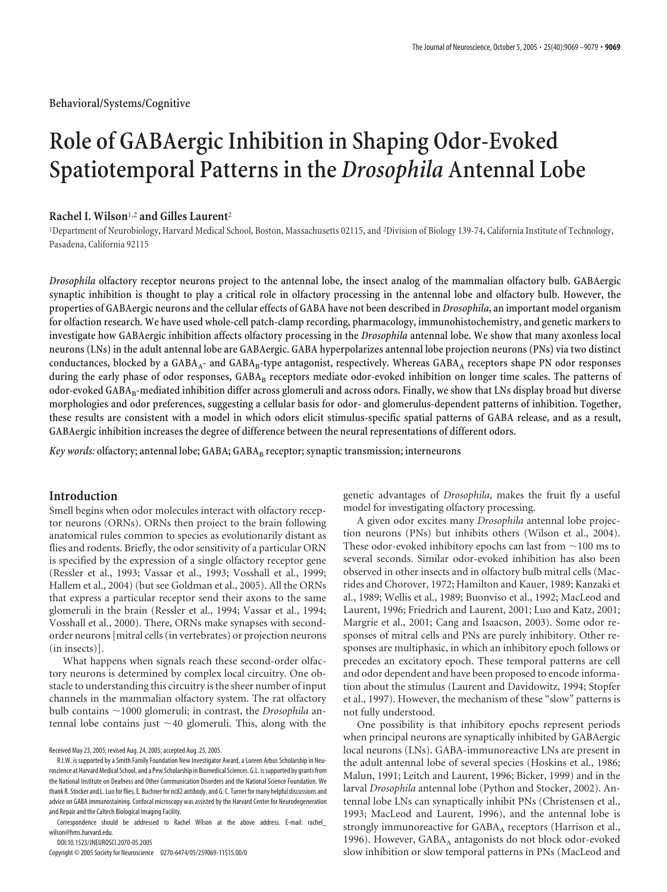**Behavioral/Systems/Cognitive**

# **Role of GABAergic Inhibition in Shaping Odor-Evoked Spatiotemporal Patterns in the** *Drosophila* **Antennal Lobe**

# **Rachel I. Wilson**1,2 **and Gilles Laurent**<sup>2</sup>

<sup>1</sup>Department of Neurobiology, Harvard Medical School, Boston, Massachusetts 02115, and <sup>2</sup>Division of Biology 139-74, California Institute of Technology, Pasadena, California 92115

*Drosophila* **olfactory receptor neurons project to the antennal lobe, the insect analog of the mammalian olfactory bulb. GABAergic synaptic inhibition is thought to play a critical role in olfactory processing in the antennal lobe and olfactory bulb. However, the properties of GABAergic neurons and the cellular effects of GABA have not been described in** *Drosophila***, an important model organism for olfaction research. We have used whole-cell patch-clamp recording, pharmacology, immunohistochemistry, and genetic markers to investigate how GABAergic inhibition affects olfactory processing in the** *Drosophila* **antennal lobe. We show that many axonless local neurons (LNs) in the adult antennal lobe are GABAergic. GABA hyperpolarizes antennal lobe projection neurons (PNs) via two distinct** conductances, blocked by a GABA<sub>A</sub>- and GABA<sub>B</sub>-type antagonist, respectively. Whereas GABA<sub>A</sub> receptors shape PN odor responses during the early phase of odor responses, GABA<sub>B</sub> receptors mediate odor-evoked inhibition on longer time scales. The patterns of odor-evoked GABA<sub>B</sub>-mediated inhibition differ across glomeruli and across odors. Finally, we show that LNs display broad but diverse **morphologies and odor preferences, suggesting a cellular basis for odor- and glomerulus-dependent patterns of inhibition. Together, these results are consistent with a model in which odors elicit stimulus-specific spatial patterns of GABA release, and as a result, GABAergic inhibition increases the degree of difference between the neural representations of different odors.**

*Key words:* olfactory; antennal lobe; GABA; GABA<sub>B</sub> receptor; synaptic transmission; interneurons

#### **Introduction**

Smell begins when odor molecules interact with olfactory receptor neurons (ORNs). ORNs then project to the brain following anatomical rules common to species as evolutionarily distant as flies and rodents. Briefly, the odor sensitivity of a particular ORN is specified by the expression of a single olfactory receptor gene (Ressler et al., 1993; Vassar et al., 1993; Vosshall et al., 1999; Hallem et al., 2004) (but see Goldman et al., 2005). All the ORNs that express a particular receptor send their axons to the same glomeruli in the brain (Ressler et al., 1994; Vassar et al., 1994; Vosshall et al., 2000). There, ORNs make synapses with secondorder neurons [mitral cells (in vertebrates) or projection neurons (in insects)].

What happens when signals reach these second-order olfactory neurons is determined by complex local circuitry. One obstacle to understanding this circuitry is the sheer number of input channels in the mammalian olfactory system. The rat olfactory bulb contains 1000 glomeruli; in contrast, the *Drosophila* antennal lobe contains just  $\sim$  40 glomeruli. This, along with the

Received May 23, 2005; revised Aug. 24, 2005; accepted Aug. 25, 2005.

DOI:10.1523/JNEUROSCI.2070-05.2005

Copyright © 2005 Society for Neuroscience 0270-6474/05/259069-11\$15.00/0

genetic advantages of *Drosophila*, makes the fruit fly a useful model for investigating olfactory processing.

A given odor excites many *Drosophila* antennal lobe projection neurons (PNs) but inhibits others (Wilson et al., 2004). These odor-evoked inhibitory epochs can last from  $\sim$ 100 ms to several seconds. Similar odor-evoked inhibition has also been observed in other insects and in olfactory bulb mitral cells (Macrides and Chorover, 1972; Hamilton and Kauer, 1989; Kanzaki et al., 1989; Wellis et al., 1989; Buonviso et al., 1992; MacLeod and Laurent, 1996; Friedrich and Laurent, 2001; Luo and Katz, 2001; Margrie et al., 2001; Cang and Isaacson, 2003). Some odor responses of mitral cells and PNs are purely inhibitory. Other responses are multiphasic, in which an inhibitory epoch follows or precedes an excitatory epoch. These temporal patterns are cell and odor dependent and have been proposed to encode information about the stimulus (Laurent and Davidowitz, 1994; Stopfer et al., 1997). However, the mechanism of these "slow" patterns is not fully understood.

One possibility is that inhibitory epochs represent periods when principal neurons are synaptically inhibited by GABAergic local neurons (LNs). GABA-immunoreactive LNs are present in the adult antennal lobe of several species (Hoskins et al., 1986; Malun, 1991; Leitch and Laurent, 1996; Bicker, 1999) and in the larval *Drosophila* antennal lobe (Python and Stocker, 2002). Antennal lobe LNs can synaptically inhibit PNs (Christensen et al., 1993; MacLeod and Laurent, 1996), and the antennal lobe is strongly immunoreactive for  $GABA_A$  receptors (Harrison et al., 1996). However,  $\rm{GABA}_A$  antagonists do not block odor-evoked slow inhibition or slow temporal patterns in PNs (MacLeod and

R.I.W. is supported by a Smith Family Foundation New Investigator Award, a Loreen Arbus Scholarship in Neuroscience at Harvard Medical School, and a Pew Scholarship in Biomedical Sciences. G.L. issupported by grants from the National Institute on Deafness and Other Communication Disorders and the National Science Foundation. We thank R. Stocker and L. Luo for flies, E. Buchner for nc82 antibody, and G. C. Turner for many helpful discussions and advice on GABA immunostaining. Confocal microscopy was assisted by the Harvard Center for Neurodegeneration and Repair and the Caltech Biological Imaging Facility.

Correspondence should be addressed to Rachel Wilson at the above address. E-mail: rachel\_ wilson@hms.harvard.edu.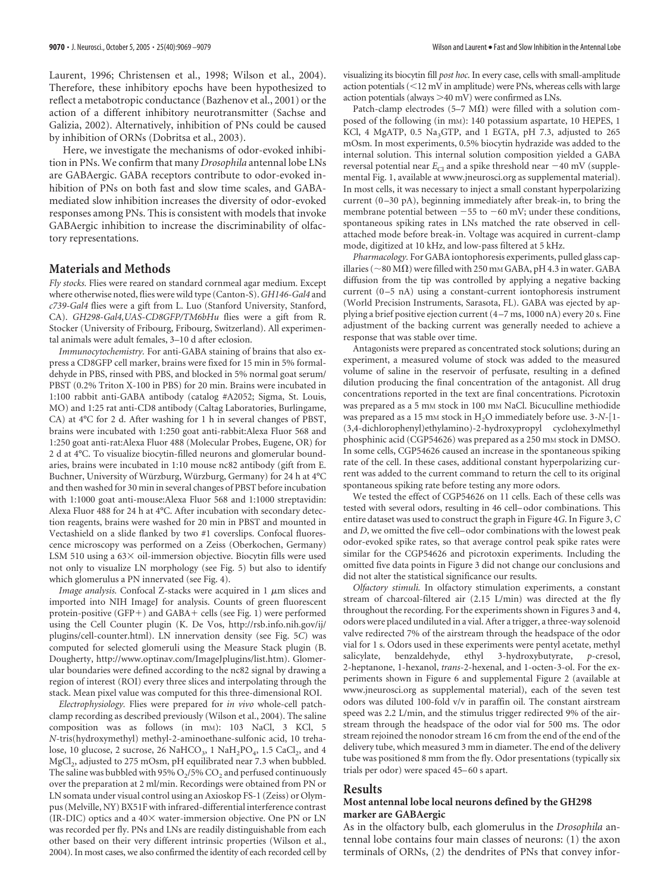Laurent, 1996; Christensen et al., 1998; Wilson et al., 2004). Therefore, these inhibitory epochs have been hypothesized to reflect a metabotropic conductance (Bazhenov et al., 2001) or the action of a different inhibitory neurotransmitter (Sachse and Galizia, 2002). Alternatively, inhibition of PNs could be caused by inhibition of ORNs (Dobritsa et al., 2003).

Here, we investigate the mechanisms of odor-evoked inhibition in PNs. We confirm that many *Drosophila* antennal lobe LNs are GABAergic. GABA receptors contribute to odor-evoked inhibition of PNs on both fast and slow time scales, and GABAmediated slow inhibition increases the diversity of odor-evoked responses among PNs. This is consistent with models that invoke GABAergic inhibition to increase the discriminability of olfactory representations.

# **Materials and Methods**

*Fly stocks.* Flies were reared on standard cornmeal agar medium. Except where otherwise noted, flies were wild type (Canton-S).*GH146-Gal4* and *c739-Gal4* flies were a gift from L. Luo (Stanford University, Stanford, CA). *GH298-Gal4,UAS-CD8GFP/TM6bHu* flies were a gift from R. Stocker (University of Fribourg, Fribourg, Switzerland). All experimental animals were adult females, 3–10 d after eclosion.

*Immunocytochemistry.* For anti-GABA staining of brains that also express a CD8GFP cell marker, brains were fixed for 15 min in 5% formaldehyde in PBS, rinsed with PBS, and blocked in 5% normal goat serum/ PBST (0.2% Triton X-100 in PBS) for 20 min. Brains were incubated in 1:100 rabbit anti-GABA antibody (catalog #A2052; Sigma, St. Louis, MO) and 1:25 rat anti-CD8 antibody (Caltag Laboratories, Burlingame, CA) at 4°C for 2 d. After washing for 1 h in several changes of PBST, brains were incubated with 1:250 goat anti-rabbit:Alexa Fluor 568 and 1:250 goat anti-rat:Alexa Fluor 488 (Molecular Probes, Eugene, OR) for 2 d at 4°C. To visualize biocytin-filled neurons and glomerular boundaries, brains were incubated in 1:10 mouse nc82 antibody (gift from E. Buchner, University of Würzburg, Würzburg, Germany) for 24 h at 4°C and then washed for 30 min in several changes of PBST before incubation with 1:1000 goat anti-mouse:Alexa Fluor 568 and 1:1000 streptavidin: Alexa Fluor 488 for 24 h at 4°C. After incubation with secondary detection reagents, brains were washed for 20 min in PBST and mounted in Vectashield on a slide flanked by two #1 coverslips. Confocal fluorescence microscopy was performed on a Zeiss (Oberkochen, Germany) LSM 510 using a 63 $\times$  oil-immersion objective. Biocytin fills were used not only to visualize LN morphology (see Fig. 5) but also to identify which glomerulus a PN innervated (see Fig. 4).

*Image analysis.* Confocal Z-stacks were acquired in 1  $\mu$ m slices and imported into NIH ImageJ for analysis. Counts of green fluorescent protein-positive (GFP+) and GABA + cells (see Fig. 1) were performed using the Cell Counter plugin (K. De Vos, http://rsb.info.nih.gov/ij/ plugins/cell-counter.html). LN innervation density (see Fig. 5*C*) was computed for selected glomeruli using the Measure Stack plugin (B. Dougherty, http://www.optinav.com/ImageJplugins/list.htm). Glomerular boundaries were defined according to the nc82 signal by drawing a region of interest (ROI) every three slices and interpolating through the stack. Mean pixel value was computed for this three-dimensional ROI.

*Electrophysiology.* Flies were prepared for *in vivo* whole-cell patchclamp recording as described previously (Wilson et al., 2004). The saline composition was as follows (in mM): 103 NaCl, 3 KCl, 5 *N*-tris(hydroxymethyl) methyl-2-aminoethane-sulfonic acid, 10 trehalose, 10 glucose, 2 sucrose, 26  $NaHCO<sub>3</sub>$ , 1  $NaH<sub>2</sub>PO<sub>4</sub>$ , 1.5  $CaCl<sub>2</sub>$ , and 4 MgCl<sub>2</sub>, adjusted to 275 mOsm, pH equilibrated near 7.3 when bubbled. The saline was bubbled with 95%  $O_2/5\%$  CO<sub>2</sub> and perfused continuously over the preparation at 2 ml/min. Recordings were obtained from PN or LN somata under visual control using an Axioskop FS-1 (Zeiss) or Olympus (Melville, NY) BX51F with infrared-differential interference contrast (IR-DIC) optics and a  $40\times$  water-immersion objective. One PN or LN was recorded per fly. PNs and LNs are readily distinguishable from each other based on their very different intrinsic properties (Wilson et al., 2004). In most cases, we also confirmed the identity of each recorded cell by

visualizing its biocytin fill *post hoc*. In every case, cells with small-amplitude action potentials ( $\leq 12$  mV in amplitude) were PNs, whereas cells with large action potentials (always  $>$ 40 mV) were confirmed as LNs.

Patch-clamp electrodes (5–7 M $\Omega$ ) were filled with a solution composed of the following (in mM): 140 potassium aspartate, 10 HEPES, 1 KCl, 4 MgATP, 0.5  $\text{Na}_3$ GTP, and 1 EGTA, pH 7.3, adjusted to 265 mOsm. In most experiments, 0.5% biocytin hydrazide was added to the internal solution. This internal solution composition yielded a GABA reversal potential near  $E_{\text{Cl}}$  and a spike threshold near  $-40$  mV (supplemental Fig. 1, available at www.jneurosci.org as supplemental material). In most cells, it was necessary to inject a small constant hyperpolarizing current (0-30 pA), beginning immediately after break-in, to bring the membrane potential between  $-55$  to  $-60$  mV; under these conditions, spontaneous spiking rates in LNs matched the rate observed in cellattached mode before break-in. Voltage was acquired in current-clamp mode, digitized at 10 kHz, and low-pass filtered at 5 kHz.

*Pharmacology.* For GABA iontophoresis experiments, pulled glass capillaries ( $\sim$ 80 M $\Omega$ ) were filled with 250 mm GABA, pH 4.3 in water. GABA diffusion from the tip was controlled by applying a negative backing current (0-5 nA) using a constant-current iontophoresis instrument (World Precision Instruments, Sarasota, FL). GABA was ejected by applying a brief positive ejection current (4 –7 ms, 1000 nA) every 20 s. Fine adjustment of the backing current was generally needed to achieve a response that was stable over time.

Antagonists were prepared as concentrated stock solutions; during an experiment, a measured volume of stock was added to the measured volume of saline in the reservoir of perfusate, resulting in a defined dilution producing the final concentration of the antagonist. All drug concentrations reported in the text are final concentrations. Picrotoxin was prepared as a 5 mm stock in 100 mm NaCl. Bicuculline methiodide was prepared as a 15 mm stock in H<sub>2</sub>O immediately before use. 3-N-[1-(3,4-dichlorophenyl)ethylamino)-2-hydroxypropyl cyclohexylmethyl phosphinic acid (CGP54626) was prepared as a 250 mm stock in DMSO. In some cells, CGP54626 caused an increase in the spontaneous spiking rate of the cell. In these cases, additional constant hyperpolarizing current was added to the current command to return the cell to its original spontaneous spiking rate before testing any more odors.

We tested the effect of CGP54626 on 11 cells. Each of these cells was tested with several odors, resulting in 46 cell– odor combinations. This entire dataset was used to construct the graph in Figure 4*G*. In Figure 3, *C* and *D*, we omitted the five cell– odor combinations with the lowest peak odor-evoked spike rates, so that average control peak spike rates were similar for the CGP54626 and picrotoxin experiments. Including the omitted five data points in Figure 3 did not change our conclusions and did not alter the statistical significance our results.

*Olfactory stimuli.* In olfactory stimulation experiments, a constant stream of charcoal-filtered air (2.15 L/min) was directed at the fly throughout the recording. For the experiments shown in Figures 3 and 4, odors were placed undiluted in a vial. After a trigger, a three-way solenoid valve redirected 7% of the airstream through the headspace of the odor vial for 1 s. Odors used in these experiments were pentyl acetate, methyl salicylate, benzaldehyde, ethyl 3-hydroxybutyrate, *p*-cresol, 2-heptanone, 1-hexanol, *trans-*2-hexenal, and 1-octen-3-ol. For the experiments shown in Figure 6 and supplemental Figure 2 (available at www.jneurosci.org as supplemental material), each of the seven test odors was diluted 100-fold v/v in paraffin oil. The constant airstream speed was 2.2 L/min, and the stimulus trigger redirected 9% of the airstream through the headspace of the odor vial for 500 ms. The odor stream rejoined the nonodor stream 16 cm from the end of the end of the delivery tube, which measured 3 mm in diameter. The end of the delivery tube was positioned 8 mm from the fly. Odor presentations (typically six trials per odor) were spaced 45– 60 s apart.

#### **Results**

#### **Most antennal lobe local neurons defined by the GH298 marker are GABAergic**

As in the olfactory bulb, each glomerulus in the *Drosophila* antennal lobe contains four main classes of neurons: (1) the axon terminals of ORNs, (2) the dendrites of PNs that convey infor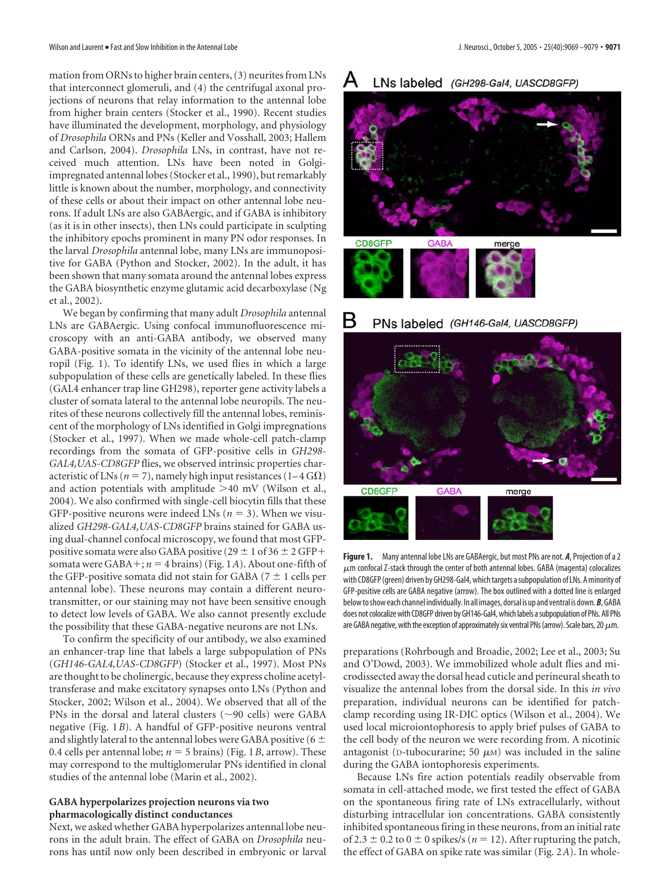mation from ORNs to higher brain centers, (3) neurites from LNs that interconnect glomeruli, and (4) the centrifugal axonal projections of neurons that relay information to the antennal lobe from higher brain centers (Stocker et al., 1990). Recent studies have illuminated the development, morphology, and physiology of *Drosophila* ORNs and PNs (Keller and Vosshall, 2003; Hallem and Carlson, 2004). *Drosophila* LNs, in contrast, have not received much attention. LNs have been noted in Golgiimpregnated antennal lobes (Stocker et al., 1990), but remarkably little is known about the number, morphology, and connectivity of these cells or about their impact on other antennal lobe neurons. If adult LNs are also GABAergic, and if GABA is inhibitory (as it is in other insects), then LNs could participate in sculpting the inhibitory epochs prominent in many PN odor responses. In the larval *Drosophila* antennal lobe, many LNs are immunopositive for GABA (Python and Stocker, 2002). In the adult, it has been shown that many somata around the antennal lobes express the GABA biosynthetic enzyme glutamic acid decarboxylase (Ng et al., 2002).

We began by confirming that many adult *Drosophila* antennal LNs are GABAergic. Using confocal immunofluorescence microscopy with an anti-GABA antibody, we observed many GABA-positive somata in the vicinity of the antennal lobe neuropil (Fig. 1). To identify LNs, we used flies in which a large subpopulation of these cells are genetically labeled. In these flies (GAL4 enhancer trap line GH298), reporter gene activity labels a cluster of somata lateral to the antennal lobe neuropils. The neurites of these neurons collectively fill the antennal lobes, reminiscent of the morphology of LNs identified in Golgi impregnations (Stocker et al., 1997). When we made whole-cell patch-clamp recordings from the somata of GFP-positive cells in *GH298- GAL4,UAS-CD8GFP* flies, we observed intrinsic properties characteristic of LNs ( $n = 7$ ), namely high input resistances (1–4 G $\Omega$ ) and action potentials with amplitude  $>40$  mV (Wilson et al., 2004). We also confirmed with single-cell biocytin fills that these GFP-positive neurons were indeed LNs ( $n = 3$ ). When we visualized *GH298-GAL4,UAS-CD8GFP* brains stained for GABA using dual-channel confocal microscopy, we found that most GFPpositive somata were also GABA positive (29  $\pm$  1 of 36  $\pm$  2 GFP + somata were  $GABA$ ;  $n = 4$  brains) (Fig. 1*A*). About one-fifth of the GFP-positive somata did not stain for GABA ( $7 \pm 1$  cells per antennal lobe). These neurons may contain a different neurotransmitter, or our staining may not have been sensitive enough to detect low levels of GABA. We also cannot presently exclude the possibility that these GABA-negative neurons are not LNs.

To confirm the specificity of our antibody, we also examined an enhancer-trap line that labels a large subpopulation of PNs (*GH146-GAL4,UAS-CD8GFP*) (Stocker et al., 1997). Most PNs are thought to be cholinergic, because they express choline acetyltransferase and make excitatory synapses onto LNs (Python and Stocker, 2002; Wilson et al., 2004). We observed that all of the PNs in the dorsal and lateral clusters ( $\sim$ 90 cells) were GABA negative (Fig. 1*B*). A handful of GFP-positive neurons ventral and slightly lateral to the antennal lobes were GABA positive (6  $\pm$ 0.4 cells per antennal lobe;  $n = 5$  brains) (Fig. 1*B*, arrow). These may correspond to the multiglomerular PNs identified in clonal studies of the antennal lobe (Marin et al., 2002).

#### **GABA hyperpolarizes projection neurons via two pharmacologically distinct conductances**

Next, we asked whether GABA hyperpolarizes antennal lobe neurons in the adult brain. The effect of GABA on *Drosophila* neurons has until now only been described in embryonic or larval

# LNs labeled (GH298-Gal4, UASCD8GFP)





**Figure 1.** Many antennal lobe LNs are GABAergic, but most PNs are not. *A*, Projection of a 2  $\mu$ m confocal Z-stack through the center of both antennal lobes. GABA (magenta) colocalizes with CD8GFP (green) driven by GH298-Gal4, which targets a subpopulation of LNs. A minority of GFP-positive cells are GABA negative (arrow). The box outlined with a dotted line is enlarged belowtoshow each channel individually. In all images, dorsal is up and ventral is down.*B*,GABA does not colocalize with CD8GFP driven by GH146-Gal4, which labels a subpopulation of PNs. All PNs are GABA negative, with the exception of approximately six ventral PNs (arrow). Scale bars, 20  $\mu$ m.

preparations (Rohrbough and Broadie, 2002; Lee et al., 2003; Su and O'Dowd, 2003). We immobilized whole adult flies and microdissected away the dorsal head cuticle and perineural sheath to visualize the antennal lobes from the dorsal side. In this *in vivo* preparation, individual neurons can be identified for patchclamp recording using IR-DIC optics (Wilson et al., 2004). We used local microiontophoresis to apply brief pulses of GABA to the cell body of the neuron we were recording from. A nicotinic antagonist (D-tubocurarine; 50  $\mu$ M) was included in the saline during the GABA iontophoresis experiments.

Because LNs fire action potentials readily observable from somata in cell-attached mode, we first tested the effect of GABA on the spontaneous firing rate of LNs extracellularly, without disturbing intracellular ion concentrations. GABA consistently inhibited spontaneous firing in these neurons, from an initial rate of 2.3  $\pm$  0.2 to 0  $\pm$  0 spikes/s ( $n = 12$ ). After rupturing the patch, the effect of GABA on spike rate was similar (Fig. 2*A*). In whole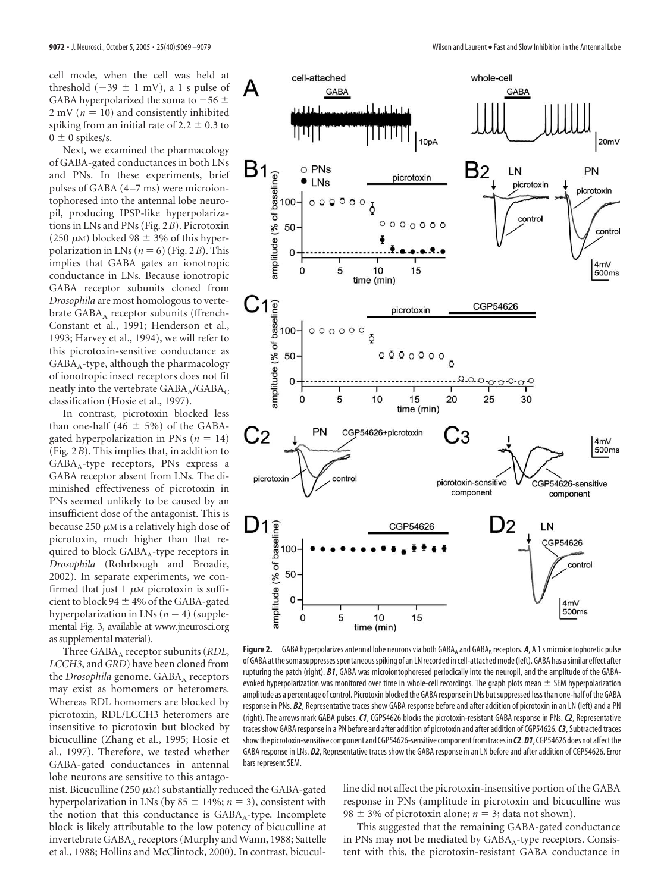cell mode, when the cell was held at threshold  $(-39 \pm 1 \text{ mV})$ , a 1 s pulse of GABA hyperpolarized the soma to  $-56 \pm$  $2 \text{ mV}$  ( $n = 10$ ) and consistently inhibited spiking from an initial rate of  $2.2 \pm 0.3$  to  $0 \pm 0$  spikes/s.

Next, we examined the pharmacology of GABA-gated conductances in both LNs and PNs. In these experiments, brief pulses of GABA (4-7 ms) were microiontophoresed into the antennal lobe neuropil, producing IPSP-like hyperpolarizations in LNs and PNs (Fig. 2*B*). Picrotoxin (250  $\mu$ M) blocked 98  $\pm$  3% of this hyperpolarization in LNs ( $n = 6$ ) (Fig. 2*B*). This implies that GABA gates an ionotropic conductance in LNs. Because ionotropic GABA receptor subunits cloned from *Drosophila* are most homologous to vertebrate  $GABA_A$  receptor subunits (ffrench-Constant et al., 1991; Henderson et al., 1993; Harvey et al., 1994), we will refer to this picrotoxin-sensitive conductance as  $GABA_A$ -type, although the pharmacology of ionotropic insect receptors does not fit neatly into the vertebrate  $GABA_A/GABA_C$ classification (Hosie et al., 1997).

In contrast, picrotoxin blocked less than one-half (46  $\pm$  5%) of the GABAgated hyperpolarization in PNs  $(n = 14)$ (Fig. 2*B*). This implies that, in addition to  $GABA_A$ -type receptors, PNs express a GABA receptor absent from LNs. The diminished effectiveness of picrotoxin in PNs seemed unlikely to be caused by an insufficient dose of the antagonist. This is because 250  $\mu$ M is a relatively high dose of picrotoxin, much higher than that required to block GABA<sub>A</sub>-type receptors in *Drosophila* (Rohrbough and Broadie, 2002). In separate experiments, we confirmed that just  $1 \mu M$  picrotoxin is sufficient to block  $94 \pm 4\%$  of the GABA-gated hyperpolarization in LNs  $(n = 4)$  (supplemental Fig. 3, available at www.jneurosci.org as supplemental material).

Three GABA<sub>A</sub> receptor subunits (*RDL*, *LCCH3*, and *GRD*) have been cloned from the *Drosophila* genome. GABA<sub>A</sub> receptors may exist as homomers or heteromers. Whereas RDL homomers are blocked by picrotoxin, RDL/LCCH3 heteromers are insensitive to picrotoxin but blocked by bicuculline (Zhang et al., 1995; Hosie et al., 1997). Therefore, we tested whether GABA-gated conductances in antennal lobe neurons are sensitive to this antago-

nist. Bicuculline (250  $\mu$ M) substantially reduced the GABA-gated hyperpolarization in LNs (by  $85 \pm 14\%$ ;  $n = 3$ ), consistent with the notion that this conductance is  $GABA_A$ -type. Incomplete block is likely attributable to the low potency of bicuculline at invertebrate GABA<sub>A</sub> receptors (Murphy and Wann, 1988; Sattelle et al., 1988; Hollins and McClintock, 2000). In contrast, bicuculline did not affect the picrotoxin-insensitive portion of the GABA response in PNs (amplitude in picrotoxin and bicuculline was 98  $\pm$  3% of picrotoxin alone;  $n = 3$ ; data not shown).

This suggested that the remaining GABA-gated conductance in PNs may not be mediated by GABA<sub>A</sub>-type receptors. Consistent with this, the picrotoxin-resistant GABA conductance in



Figure 2. GABA hyperpolarizes antennal lobe neurons via both GABA<sub>A</sub> and GABA<sub>B</sub> receptors. A, A 1 s microiontophoretic pulse of GABA at the soma suppresses spontaneous spiking of an LN recorded in cell-attached mode (left). GABA has a similar effect after rupturing the patch (right). *B1*, GABA was microiontophoresed periodically into the neuropil, and the amplitude of the GABAevoked hyperpolarization was monitored over time in whole-cell recordings. The graph plots mean  $\pm$  SEM hyperpolarization amplitude as a percentage of control. Picrotoxin blocked the GABA response in LNs butsuppressed less than one-half of the GABA response in PNs. *B2*, Representative traces show GABA response before and after addition of picrotoxin in an LN (left) and a PN (right). The arrows mark GABA pulses. *C1*, CGP54626 blocks the picrotoxin-resistant GABA response in PNs. *C2*, Representative traces show GABA response in a PN before and after addition of picrotoxin and after addition of CGP54626.*C3*, Subtracted traces showthe picrotoxin-sensitive component and CGP54626-sensitive componentfromtraces in *C2*.*D1*, CGP54626 does not affectthe GABA response in LNs. *D2*, Representative traces show the GABA response in an LN before and after addition of CGP54626. Error bars represent SEM.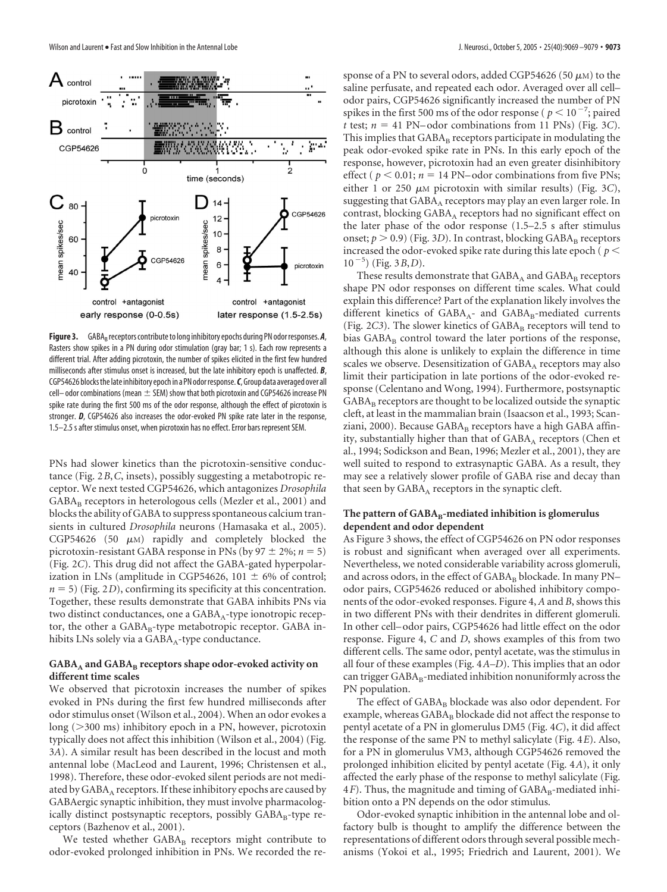

**Figure 3.** GABA<sub>B</sub> receptors contribute to long inhibitory epochs during PN odor responses. A, Rasters show spikes in a PN during odor stimulation (gray bar; 1 s). Each row represents a different trial. After adding picrotoxin, the number of spikes elicited in the first few hundred milliseconds after stimulus onset is increased, but the late inhibitory epoch is unaffected. *B*, CGP54626 blocksthe late inhibitory epoch in a PN odorresponse.*C*,Group data averaged over all cell– odor combinations (mean  $\pm$  SEM) show that both picrotoxin and CGP54626 increase PN spike rate during the first 500 ms of the odor response, although the effect of picrotoxin is stronger. *D*, CGP54626 also increases the odor-evoked PN spike rate later in the response, 1.5–2.5 s after stimulus onset, when picrotoxin has no effect. Error bars represent SEM.

PNs had slower kinetics than the picrotoxin-sensitive conductance (Fig. 2*B*,*C*, insets), possibly suggesting a metabotropic receptor. We next tested CGP54626, which antagonizes *Drosophila*  $GABA_B$  receptors in heterologous cells (Mezler et al., 2001) and blocks the ability of GABA to suppress spontaneous calcium transients in cultured *Drosophila* neurons (Hamasaka et al., 2005). CGP54626 (50  $\mu$ M) rapidly and completely blocked the picrotoxin-resistant GABA response in PNs (by  $97 \pm 2\%$ ;  $n = 5$ ) (Fig. 2*C*). This drug did not affect the GABA-gated hyperpolarization in LNs (amplitude in CGP54626, 101  $\pm$  6% of control;  $n = 5$ ) (Fig. 2*D*), confirming its specificity at this concentration. Together, these results demonstrate that GABA inhibits PNs via two distinct conductances, one a  $GABA_A$ -type ionotropic receptor, the other a  $GABA_B$ -type metabotropic receptor.  $GABA$  inhibits LNs solely via a GABA<sub>A</sub>-type conductance.

#### **GABAA and GABAB receptors shape odor-evoked activity on different time scales**

We observed that picrotoxin increases the number of spikes evoked in PNs during the first few hundred milliseconds after odor stimulus onset (Wilson et al., 2004). When an odor evokes a long ( $>$ 300 ms) inhibitory epoch in a PN, however, picrotoxin typically does not affect this inhibition (Wilson et al., 2004) (Fig. 3*A*). A similar result has been described in the locust and moth antennal lobe (MacLeod and Laurent, 1996; Christensen et al., 1998). Therefore, these odor-evoked silent periods are not mediated by  $GABA_A$  receptors. If these inhibitory epochs are caused by GABAergic synaptic inhibition, they must involve pharmacologically distinct postsynaptic receptors, possibly GABA<sub>B</sub>-type receptors (Bazhenov et al., 2001).

We tested whether GABAB receptors might contribute to odor-evoked prolonged inhibition in PNs. We recorded the response of a PN to several odors, added CGP54626 (50  $\mu$ M) to the saline perfusate, and repeated each odor. Averaged over all cell– odor pairs, CGP54626 significantly increased the number of PN spikes in the first 500 ms of the odor response ( $p < 10^{-7}$ ; paired *t* test;  $n = 41$  PN–odor combinations from 11 PNs) (Fig. 3*C*). This implies that GABA<sub>B</sub> receptors participate in modulating the peak odor-evoked spike rate in PNs. In this early epoch of the response, however, picrotoxin had an even greater disinhibitory effect ( $p < 0.01$ ;  $n = 14$  PN–odor combinations from five PNs; either 1 or 250  $\mu$ M picrotoxin with similar results) (Fig. 3C), suggesting that  $GABA_A$  receptors may play an even larger role. In contrast, blocking GABA<sub>A</sub> receptors had no significant effect on the later phase of the odor response (1.5–2.5 s after stimulus onset;  $p > 0.9$ ) (Fig. 3*D*). In contrast, blocking GABA<sub>B</sub> receptors increased the odor-evoked spike rate during this late epoch ( $p <$ 10<sup>-5</sup>) (Fig. 3*B*,*D*).

These results demonstrate that  $GABA_A$  and  $GABA_B$  receptors shape PN odor responses on different time scales. What could explain this difference? Part of the explanation likely involves the different kinetics of  $GABA_A$ - and  $GABA_B$ -mediated currents (Fig. 2C3). The slower kinetics of GABA<sub>B</sub> receptors will tend to bias  $GABA_B$  control toward the later portions of the response, although this alone is unlikely to explain the difference in time scales we observe. Desensitization of GABAA receptors may also limit their participation in late portions of the odor-evoked response (Celentano and Wong, 1994). Furthermore, postsynaptic  $GABA_B$  receptors are thought to be localized outside the synaptic cleft, at least in the mammalian brain (Isaacson et al., 1993; Scanziani, 2000). Because  $GABA_B$  receptors have a high  $GABA$  affinity, substantially higher than that of GABAA receptors (Chen et al., 1994; Sodickson and Bean, 1996; Mezler et al., 2001), they are well suited to respond to extrasynaptic GABA. As a result, they may see a relatively slower profile of GABA rise and decay than that seen by  $GABA_A$  receptors in the synaptic cleft.

#### The pattern of GABA<sub>B</sub>-mediated inhibition is glomerulus **dependent and odor dependent**

As Figure 3 shows, the effect of CGP54626 on PN odor responses is robust and significant when averaged over all experiments. Nevertheless, we noted considerable variability across glomeruli, and across odors, in the effect of GABAB blockade. In many PNodor pairs, CGP54626 reduced or abolished inhibitory components of the odor-evoked responses. Figure 4, *A* and *B*, shows this in two different PNs with their dendrites in different glomeruli. In other cell– odor pairs, CGP54626 had little effect on the odor response. Figure 4, *C* and *D*, shows examples of this from two different cells. The same odor, pentyl acetate, was the stimulus in all four of these examples (Fig. 4*A–D*). This implies that an odor can trigger  $GABA_B$ -mediated inhibition nonuniformly across the PN population.

The effect of GABA<sub>B</sub> blockade was also odor dependent. For example, whereas GABA<sub>B</sub> blockade did not affect the response to pentyl acetate of a PN in glomerulus DM5 (Fig. 4*C*), it did affect the response of the same PN to methyl salicylate (Fig. 4*E*). Also, for a PN in glomerulus VM3, although CGP54626 removed the prolonged inhibition elicited by pentyl acetate (Fig. 4*A*), it only affected the early phase of the response to methyl salicylate (Fig.  $4F$ ). Thus, the magnitude and timing of  $GABA_B$ -mediated inhibition onto a PN depends on the odor stimulus.

Odor-evoked synaptic inhibition in the antennal lobe and olfactory bulb is thought to amplify the difference between the representations of different odors through several possible mechanisms (Yokoi et al., 1995; Friedrich and Laurent, 2001). We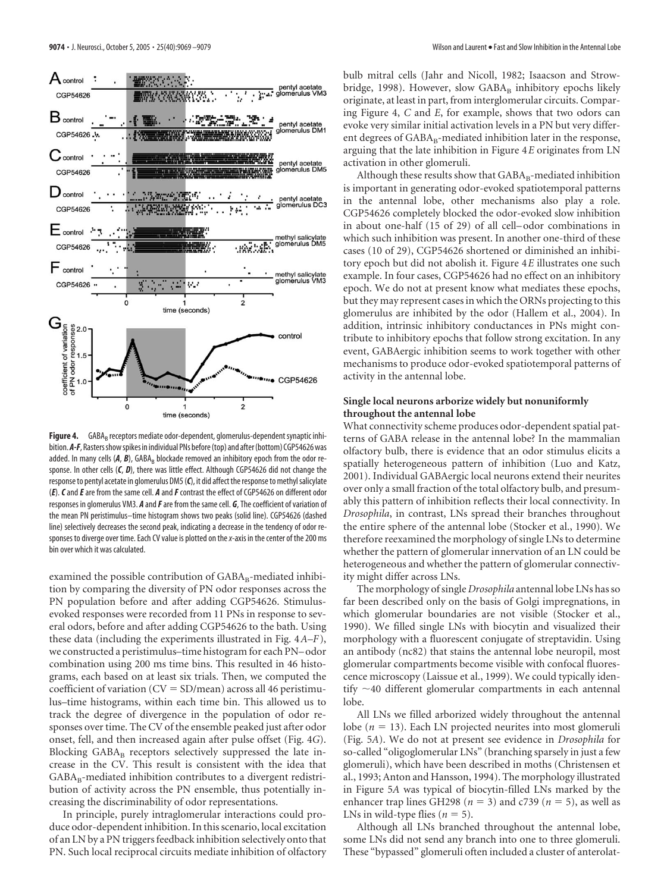

**Figure 4.** GABA<sub>R</sub> receptors mediate odor-dependent, glomerulus-dependent synaptic inhibition. A-F, Rasters show spikes in individual PNs before (top) and after (bottom) CGP54626 was added. In many cells  $(A, B)$ , GABA<sub>R</sub> blockade removed an inhibitory epoch from the odor response. In other cells (*C*, *D*), there was little effect. Although CGP54626 did not change the response to pentyl acetate in glomerulus DM5 (*C*), it did affect the response to methylsalicylate (*E*).*C*and*E*are from the same cell. *A* and*F*contrast the effect of CGP54626 on different odor responses in glomerulus VM3. *A* and*F*are from the same cell. *G*, The coefficient of variation of the mean PN peristimulus–time histogram shows two peaks (solid line). CGP54626 (dashed line) selectively decreases the second peak, indicating a decrease in the tendency of odor responses to diverge over time. Each CV value is plotted on the*x*-axis in the center of the 200 ms bin over which it was calculated.

examined the possible contribution of GABAB-mediated inhibition by comparing the diversity of PN odor responses across the PN population before and after adding CGP54626. Stimulusevoked responses were recorded from 11 PNs in response to several odors, before and after adding CGP54626 to the bath. Using these data (including the experiments illustrated in Fig. 4*A–F*), we constructed a peristimulus–time histogram for each PN– odor combination using 200 ms time bins. This resulted in 46 histograms, each based on at least six trials. Then, we computed the coefficient of variation ( $CV = SD/mean$ ) across all 46 peristimulus–time histograms, within each time bin. This allowed us to track the degree of divergence in the population of odor responses over time. The CV of the ensemble peaked just after odor onset, fell, and then increased again after pulse offset (Fig. 4*G*). Blocking  $GABA_B$  receptors selectively suppressed the late increase in the CV. This result is consistent with the idea that GABA<sub>B</sub>-mediated inhibition contributes to a divergent redistribution of activity across the PN ensemble, thus potentially increasing the discriminability of odor representations.

In principle, purely intraglomerular interactions could produce odor-dependent inhibition. In this scenario, local excitation of an LN by a PN triggers feedback inhibition selectively onto that PN. Such local reciprocal circuits mediate inhibition of olfactory

bulb mitral cells (Jahr and Nicoll, 1982; Isaacson and Strowbridge, 1998). However, slow  $GABA_B$  inhibitory epochs likely originate, at least in part, from interglomerular circuits. Comparing Figure 4, *C* and *E*, for example, shows that two odors can evoke very similar initial activation levels in a PN but very different degrees of GABA<sub>B</sub>-mediated inhibition later in the response, arguing that the late inhibition in Figure 4*E* originates from LN activation in other glomeruli.

Although these results show that  $GABA_B$ -mediated inhibition is important in generating odor-evoked spatiotemporal patterns in the antennal lobe, other mechanisms also play a role. CGP54626 completely blocked the odor-evoked slow inhibition in about one-half (15 of 29) of all cell– odor combinations in which such inhibition was present. In another one-third of these cases (10 of 29), CGP54626 shortened or diminished an inhibitory epoch but did not abolish it. Figure 4*E* illustrates one such example. In four cases, CGP54626 had no effect on an inhibitory epoch. We do not at present know what mediates these epochs, but they may represent cases in which the ORNs projecting to this glomerulus are inhibited by the odor (Hallem et al., 2004). In addition, intrinsic inhibitory conductances in PNs might contribute to inhibitory epochs that follow strong excitation. In any event, GABAergic inhibition seems to work together with other mechanisms to produce odor-evoked spatiotemporal patterns of activity in the antennal lobe.

## **Single local neurons arborize widely but nonuniformly throughout the antennal lobe**

What connectivity scheme produces odor-dependent spatial patterns of GABA release in the antennal lobe? In the mammalian olfactory bulb, there is evidence that an odor stimulus elicits a spatially heterogeneous pattern of inhibition (Luo and Katz, 2001). Individual GABAergic local neurons extend their neurites over only a small fraction of the total olfactory bulb, and presumably this pattern of inhibition reflects their local connectivity. In *Drosophila*, in contrast, LNs spread their branches throughout the entire sphere of the antennal lobe (Stocker et al., 1990). We therefore reexamined the morphology of single LNs to determine whether the pattern of glomerular innervation of an LN could be heterogeneous and whether the pattern of glomerular connectivity might differ across LNs.

The morphology of single *Drosophila* antennal lobe LNs has so far been described only on the basis of Golgi impregnations, in which glomerular boundaries are not visible (Stocker et al., 1990). We filled single LNs with biocytin and visualized their morphology with a fluorescent conjugate of streptavidin. Using an antibody (nc82) that stains the antennal lobe neuropil, most glomerular compartments become visible with confocal fluorescence microscopy (Laissue et al., 1999). We could typically identify  $\sim$ 40 different glomerular compartments in each antennal lobe.

All LNs we filled arborized widely throughout the antennal lobe ( $n = 13$ ). Each LN projected neurites into most glomeruli (Fig. 5*A*). We do not at present see evidence in *Drosophila* for so-called "oligoglomerular LNs" (branching sparsely in just a few glomeruli), which have been described in moths (Christensen et al., 1993; Anton and Hansson, 1994). The morphology illustrated in Figure 5*A* was typical of biocytin-filled LNs marked by the enhancer trap lines GH298 ( $n = 3$ ) and c739 ( $n = 5$ ), as well as LNs in wild-type flies  $(n = 5)$ .

Although all LNs branched throughout the antennal lobe, some LNs did not send any branch into one to three glomeruli. These "bypassed" glomeruli often included a cluster of anterolat-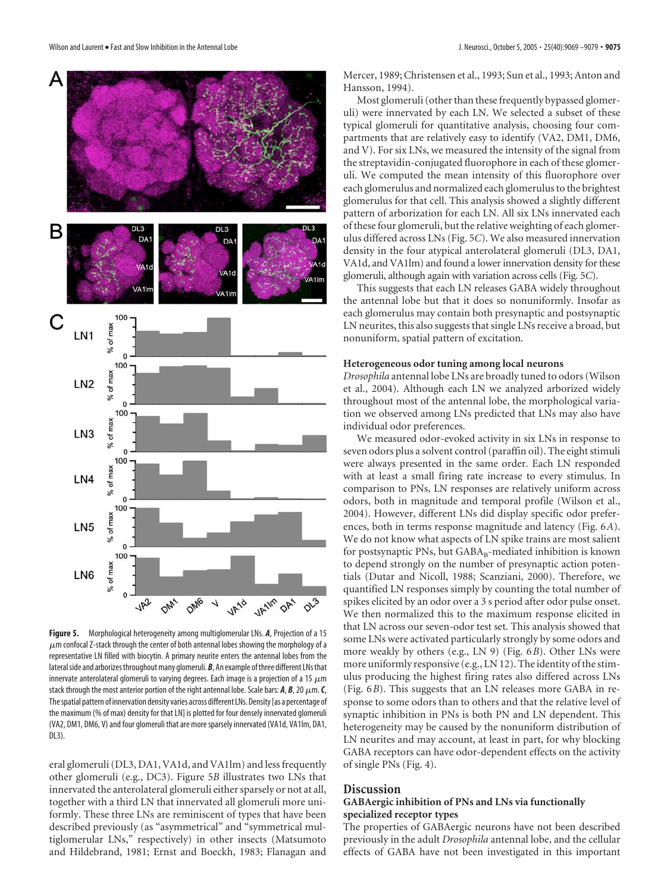

**Figure 5.** Morphological heterogeneity among multiglomerular LNs. *A*, Projection of a 15  $\mu$ m confocal Z-stack through the center of both antennal lobes showing the morphology of a representative LN filled with biocytin. A primary neurite enters the antennal lobes from the lateral side and arborizes throughout many glomeruli. **B**, An example of three different LNs that innervate anterolateral glomeruli to varying degrees. Each image is a projection of a 15  $\mu$ m stack through the most anterior portion of the right antennal lobe. Scale bars:  $A$ ,  $B$ , 20  $\mu$ m.  $C$ , The spatial pattern of innervation density varies across different LNs. Density [as a percentage of the maximum (% of max) density for that LN] is plotted for four densely innervated glomeruli (VA2, DM1, DM6, V) and four glomeruli that are more sparsely innervated (VA1d, VA1lm, DA1, DL3).

eral glomeruli (DL3, DA1, VA1d, and VA1lm) and less frequently other glomeruli (e.g., DC3). Figure 5*B* illustrates two LNs that innervated the anterolateral glomeruli either sparsely or not at all, together with a third LN that innervated all glomeruli more uniformly. These three LNs are reminiscent of types that have been described previously (as "asymmetrical" and "symmetrical multiglomerular LNs," respectively) in other insects (Matsumoto and Hildebrand, 1981; Ernst and Boeckh, 1983; Flanagan and

Mercer, 1989; Christensen et al., 1993; Sun et al., 1993; Anton and Hansson, 1994).

Most glomeruli (other than these frequently bypassed glomeruli) were innervated by each LN. We selected a subset of these typical glomeruli for quantitative analysis, choosing four compartments that are relatively easy to identify (VA2, DM1, DM6, and V). For six LNs, we measured the intensity of the signal from the streptavidin-conjugated fluorophore in each of these glomeruli. We computed the mean intensity of this fluorophore over each glomerulus and normalized each glomerulus to the brightest glomerulus for that cell. This analysis showed a slightly different pattern of arborization for each LN. All six LNs innervated each of these four glomeruli, but the relative weighting of each glomerulus differed across LNs (Fig. 5*C*). We also measured innervation density in the four atypical anterolateral glomeruli (DL3, DA1, VA1d, and VA1lm) and found a lower innervation density for these glomeruli, although again with variation across cells (Fig. 5*C*).

This suggests that each LN releases GABA widely throughout the antennal lobe but that it does so nonuniformly. Insofar as each glomerulus may contain both presynaptic and postsynaptic LN neurites, this also suggests that single LNs receive a broad, but nonuniform, spatial pattern of excitation.

#### **Heterogeneous odor tuning among local neurons**

*Drosophila* antennal lobe LNs are broadly tuned to odors (Wilson et al., 2004). Although each LN we analyzed arborized widely throughout most of the antennal lobe, the morphological variation we observed among LNs predicted that LNs may also have individual odor preferences.

We measured odor-evoked activity in six LNs in response to seven odors plus a solvent control (paraffin oil). The eight stimuli were always presented in the same order. Each LN responded with at least a small firing rate increase to every stimulus. In comparison to PNs, LN responses are relatively uniform across odors, both in magnitude and temporal profile (Wilson et al., 2004). However, different LNs did display specific odor preferences, both in terms response magnitude and latency (Fig. 6*A*). We do not know what aspects of LN spike trains are most salient for postsynaptic PNs, but GABA<sub>B</sub>-mediated inhibition is known to depend strongly on the number of presynaptic action potentials (Dutar and Nicoll, 1988; Scanziani, 2000). Therefore, we quantified LN responses simply by counting the total number of spikes elicited by an odor over a 3 s period after odor pulse onset. We then normalized this to the maximum response elicited in that LN across our seven-odor test set. This analysis showed that some LNs were activated particularly strongly by some odors and more weakly by others (e.g., LN 9) (Fig. 6*B*). Other LNs were more uniformly responsive (e.g., LN 12). The identity of the stimulus producing the highest firing rates also differed across LNs (Fig. 6*B*). This suggests that an LN releases more GABA in response to some odors than to others and that the relative level of synaptic inhibition in PNs is both PN and LN dependent. This heterogeneity may be caused by the nonuniform distribution of LN neurites and may account, at least in part, for why blocking GABA receptors can have odor-dependent effects on the activity of single PNs (Fig. 4).

#### **Discussion**

## **GABAergic inhibition of PNs and LNs via functionally specialized receptor types**

The properties of GABAergic neurons have not been described previously in the adult *Drosophila* antennal lobe, and the cellular effects of GABA have not been investigated in this important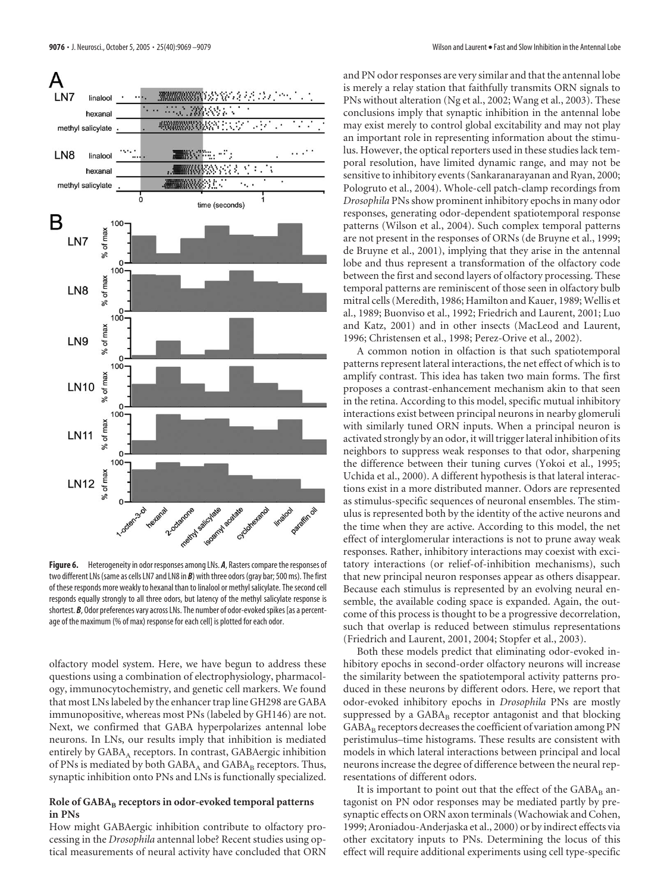

**Figure 6.** Heterogeneity in odor responses among LNs. *A*, Rasters compare the responses of two different LNs (same as cells LN7 and LN8 in *B*) with three odors (gray bar; 500 ms). The first of these responds more weakly to hexanal than to linalool or methyl salicylate. The second cell responds equally strongly to all three odors, but latency of the methyl salicylate response is shortest. *B*, Odor preferences vary across LNs. The number of odor-evoked spikes [as a percentage of the maximum (% of max) response for each cell] is plotted for each odor.

olfactory model system. Here, we have begun to address these questions using a combination of electrophysiology, pharmacology, immunocytochemistry, and genetic cell markers. We found that most LNs labeled by the enhancer trap line GH298 are GABA immunopositive, whereas most PNs (labeled by GH146) are not. Next, we confirmed that GABA hyperpolarizes antennal lobe neurons. In LNs, our results imply that inhibition is mediated entirely by GABA<sub>A</sub> receptors. In contrast, GABAergic inhibition of PNs is mediated by both  $GABA_A$  and  $GABA_B$  receptors. Thus, synaptic inhibition onto PNs and LNs is functionally specialized.

#### **Role of GABAB receptors in odor-evoked temporal patterns in PNs**

How might GABAergic inhibition contribute to olfactory processing in the *Drosophila* antennal lobe? Recent studies using optical measurements of neural activity have concluded that ORN and PN odor responses are very similar and that the antennal lobe is merely a relay station that faithfully transmits ORN signals to PNs without alteration (Ng et al., 2002; Wang et al., 2003). These conclusions imply that synaptic inhibition in the antennal lobe may exist merely to control global excitability and may not play an important role in representing information about the stimulus. However, the optical reporters used in these studies lack temporal resolution, have limited dynamic range, and may not be sensitive to inhibitory events (Sankaranarayanan and Ryan, 2000; Pologruto et al., 2004). Whole-cell patch-clamp recordings from *Drosophila* PNs show prominent inhibitory epochs in many odor responses, generating odor-dependent spatiotemporal response patterns (Wilson et al., 2004). Such complex temporal patterns are not present in the responses of ORNs (de Bruyne et al., 1999; de Bruyne et al., 2001), implying that they arise in the antennal lobe and thus represent a transformation of the olfactory code between the first and second layers of olfactory processing. These temporal patterns are reminiscent of those seen in olfactory bulb mitral cells (Meredith, 1986; Hamilton and Kauer, 1989; Wellis et al., 1989; Buonviso et al., 1992; Friedrich and Laurent, 2001; Luo and Katz, 2001) and in other insects (MacLeod and Laurent, 1996; Christensen et al., 1998; Perez-Orive et al., 2002).

A common notion in olfaction is that such spatiotemporal patterns represent lateral interactions, the net effect of which is to amplify contrast. This idea has taken two main forms. The first proposes a contrast-enhancement mechanism akin to that seen in the retina. According to this model, specific mutual inhibitory interactions exist between principal neurons in nearby glomeruli with similarly tuned ORN inputs. When a principal neuron is activated strongly by an odor, it will trigger lateral inhibition of its neighbors to suppress weak responses to that odor, sharpening the difference between their tuning curves (Yokoi et al., 1995; Uchida et al., 2000). A different hypothesis is that lateral interactions exist in a more distributed manner. Odors are represented as stimulus-specific sequences of neuronal ensembles. The stimulus is represented both by the identity of the active neurons and the time when they are active. According to this model, the net effect of interglomerular interactions is not to prune away weak responses. Rather, inhibitory interactions may coexist with excitatory interactions (or relief-of-inhibition mechanisms), such that new principal neuron responses appear as others disappear. Because each stimulus is represented by an evolving neural ensemble, the available coding space is expanded. Again, the outcome of this process is thought to be a progressive decorrelation, such that overlap is reduced between stimulus representations (Friedrich and Laurent, 2001, 2004; Stopfer et al., 2003).

Both these models predict that eliminating odor-evoked inhibitory epochs in second-order olfactory neurons will increase the similarity between the spatiotemporal activity patterns produced in these neurons by different odors. Here, we report that odor-evoked inhibitory epochs in *Drosophila* PNs are mostly suppressed by a GABA<sub>B</sub> receptor antagonist and that blocking  $GABA_B$  receptors decreases the coefficient of variation among PN peristimulus–time histograms. These results are consistent with models in which lateral interactions between principal and local neurons increase the degree of difference between the neural representations of different odors.

It is important to point out that the effect of the  $GABA_B$  antagonist on PN odor responses may be mediated partly by presynaptic effects on ORN axon terminals (Wachowiak and Cohen, 1999; Aroniadou-Anderjaska et al., 2000) or by indirect effects via other excitatory inputs to PNs. Determining the locus of this effect will require additional experiments using cell type-specific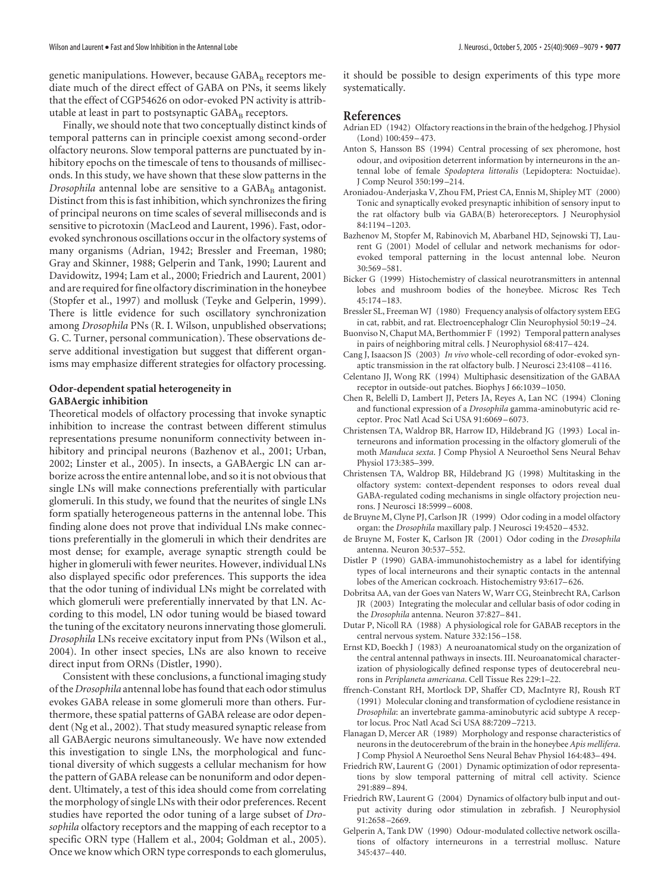genetic manipulations. However, because GABA<sub>B</sub> receptors mediate much of the direct effect of GABA on PNs, it seems likely that the effect of CGP54626 on odor-evoked PN activity is attributable at least in part to postsynaptic  $GABA_B$  receptors.

Finally, we should note that two conceptually distinct kinds of temporal patterns can in principle coexist among second-order olfactory neurons. Slow temporal patterns are punctuated by inhibitory epochs on the timescale of tens to thousands of milliseconds. In this study, we have shown that these slow patterns in the *Drosophila* antennal lobe are sensitive to a GABA<sub>B</sub> antagonist. Distinct from this is fast inhibition, which synchronizes the firing of principal neurons on time scales of several milliseconds and is sensitive to picrotoxin (MacLeod and Laurent, 1996). Fast, odorevoked synchronous oscillations occur in the olfactory systems of many organisms (Adrian, 1942; Bressler and Freeman, 1980; Gray and Skinner, 1988; Gelperin and Tank, 1990; Laurent and Davidowitz, 1994; Lam et al., 2000; Friedrich and Laurent, 2001) and are required for fine olfactory discrimination in the honeybee (Stopfer et al., 1997) and mollusk (Teyke and Gelperin, 1999). There is little evidence for such oscillatory synchronization among *Drosophila* PNs (R. I. Wilson, unpublished observations; G. C. Turner, personal communication). These observations deserve additional investigation but suggest that different organisms may emphasize different strategies for olfactory processing.

#### **Odor-dependent spatial heterogeneity in GABAergic inhibition**

Theoretical models of olfactory processing that invoke synaptic inhibition to increase the contrast between different stimulus representations presume nonuniform connectivity between inhibitory and principal neurons (Bazhenov et al., 2001; Urban, 2002; Linster et al., 2005). In insects, a GABAergic LN can arborize across the entire antennal lobe, and so it is not obvious that single LNs will make connections preferentially with particular glomeruli. In this study, we found that the neurites of single LNs form spatially heterogeneous patterns in the antennal lobe. This finding alone does not prove that individual LNs make connections preferentially in the glomeruli in which their dendrites are most dense; for example, average synaptic strength could be higher in glomeruli with fewer neurites. However, individual LNs also displayed specific odor preferences. This supports the idea that the odor tuning of individual LNs might be correlated with which glomeruli were preferentially innervated by that LN. According to this model, LN odor tuning would be biased toward the tuning of the excitatory neurons innervating those glomeruli. *Drosophila* LNs receive excitatory input from PNs (Wilson et al., 2004). In other insect species, LNs are also known to receive direct input from ORNs (Distler, 1990).

Consistent with these conclusions, a functional imaging study of the *Drosophila* antennal lobe has found that each odor stimulus evokes GABA release in some glomeruli more than others. Furthermore, these spatial patterns of GABA release are odor dependent (Ng et al., 2002). That study measured synaptic release from all GABAergic neurons simultaneously. We have now extended this investigation to single LNs, the morphological and functional diversity of which suggests a cellular mechanism for how the pattern of GABA release can be nonuniform and odor dependent. Ultimately, a test of this idea should come from correlating the morphology of single LNs with their odor preferences. Recent studies have reported the odor tuning of a large subset of *Drosophila* olfactory receptors and the mapping of each receptor to a specific ORN type (Hallem et al., 2004; Goldman et al., 2005). Once we know which ORN type corresponds to each glomerulus,

it should be possible to design experiments of this type more systematically.

#### **References**

- Adrian ED (1942) Olfactory reactions in the brain of the hedgehog. J Physiol (Lond) 100:459 –473.
- Anton S, Hansson BS (1994) Central processing of sex pheromone, host odour, and oviposition deterrent information by interneurons in the antennal lobe of female *Spodoptera littoralis* (Lepidoptera: Noctuidae). J Comp Neurol 350:199 –214.
- Aroniadou-Anderjaska V, Zhou FM, Priest CA, Ennis M, Shipley MT (2000) Tonic and synaptically evoked presynaptic inhibition of sensory input to the rat olfactory bulb via GABA(B) heteroreceptors. J Neurophysiol 84:1194 –1203.
- Bazhenov M, Stopfer M, Rabinovich M, Abarbanel HD, Sejnowski TJ, Laurent G (2001) Model of cellular and network mechanisms for odorevoked temporal patterning in the locust antennal lobe. Neuron 30:569 –581.
- Bicker G (1999) Histochemistry of classical neurotransmitters in antennal lobes and mushroom bodies of the honeybee. Microsc Res Tech  $45.174 - 183$
- Bressler SL, Freeman WJ (1980) Frequency analysis of olfactory system EEG in cat, rabbit, and rat. Electroencephalogr Clin Neurophysiol 50:19 –24.
- Buonviso N, Chaput MA, Berthommier F (1992) Temporal pattern analyses in pairs of neighboring mitral cells. J Neurophysiol 68:417–424.
- Cang J, Isaacson JS (2003) *In vivo* whole-cell recording of odor-evoked synaptic transmission in the rat olfactory bulb. J Neurosci 23:4108 –4116.
- Celentano JJ, Wong RK (1994) Multiphasic desensitization of the GABAA receptor in outside-out patches. Biophys J 66:1039 –1050.
- Chen R, Belelli D, Lambert JJ, Peters JA, Reyes A, Lan NC (1994) Cloning and functional expression of a *Drosophila* gamma-aminobutyric acid receptor. Proc Natl Acad Sci USA 91:6069 –6073.
- Christensen TA, Waldrop BR, Harrow ID, Hildebrand JG (1993) Local interneurons and information processing in the olfactory glomeruli of the moth *Manduca sexta*. J Comp Physiol A Neuroethol Sens Neural Behav Physiol 173:385–399.
- Christensen TA, Waldrop BR, Hildebrand JG (1998) Multitasking in the olfactory system: context-dependent responses to odors reveal dual GABA-regulated coding mechanisms in single olfactory projection neurons. J Neurosci 18:5999 –6008.
- de Bruyne M, Clyne PJ, Carlson JR (1999) Odor coding in a model olfactory organ: the *Drosophila* maxillary palp. J Neurosci 19:4520 –4532.
- de Bruyne M, Foster K, Carlson JR (2001) Odor coding in the *Drosophila* antenna. Neuron 30:537–552.
- Distler P (1990) GABA-immunohistochemistry as a label for identifying types of local interneurons and their synaptic contacts in the antennal lobes of the American cockroach. Histochemistry 93:617–626.
- Dobritsa AA, van der Goes van Naters W, Warr CG, Steinbrecht RA, Carlson JR (2003) Integrating the molecular and cellular basis of odor coding in the *Drosophila* antenna. Neuron 37:827–841.
- Dutar P, Nicoll RA (1988) A physiological role for GABAB receptors in the central nervous system. Nature 332:156 –158.
- Ernst KD, Boeckh J (1983) A neuroanatomical study on the organization of the central antennal pathways in insects. III. Neuroanatomical characterization of physiologically defined response types of deutocerebral neurons in *Periplaneta americana*. Cell Tissue Res 229:1–22.
- ffrench-Constant RH, Mortlock DP, Shaffer CD, MacIntyre RJ, Roush RT (1991) Molecular cloning and transformation of cyclodiene resistance in *Drosophila*: an invertebrate gamma-aminobutyric acid subtype A receptor locus. Proc Natl Acad Sci USA 88:7209 –7213.
- Flanagan D, Mercer AR (1989) Morphology and response characteristics of neurons in the deutocerebrum of the brain in the honeybee *Apis mellifera*. J Comp Physiol A Neuroethol Sens Neural Behav Physiol 164:483–494.
- Friedrich RW, Laurent G (2001) Dynamic optimization of odor representations by slow temporal patterning of mitral cell activity. Science 291:889 –894.
- Friedrich RW, Laurent G (2004) Dynamics of olfactory bulb input and output activity during odor stimulation in zebrafish. J Neurophysiol 91:2658 –2669.
- Gelperin A, Tank DW (1990) Odour-modulated collective network oscillations of olfactory interneurons in a terrestrial mollusc. Nature 345:437–440.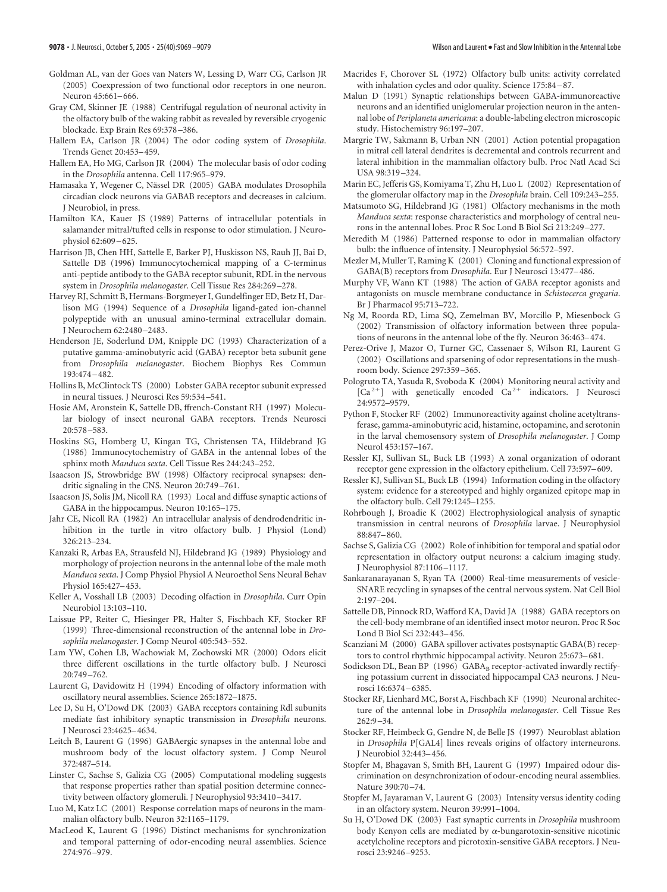- Goldman AL, van der Goes van Naters W, Lessing D, Warr CG, Carlson JR (2005) Coexpression of two functional odor receptors in one neuron. Neuron 45:661–666.
- Gray CM, Skinner JE (1988) Centrifugal regulation of neuronal activity in the olfactory bulb of the waking rabbit as revealed by reversible cryogenic blockade. Exp Brain Res 69:378 –386.
- Hallem EA, Carlson JR (2004) The odor coding system of *Drosophila*. Trends Genet 20:453–459.
- Hallem EA, Ho MG, Carlson JR (2004) The molecular basis of odor coding in the *Drosophila* antenna. Cell 117:965–979.
- Hamasaka Y, Wegener C, Nässel DR (2005) GABA modulates Drosophila circadian clock neurons via GABAB receptors and decreases in calcium. J Neurobiol, in press.
- Hamilton KA, Kauer JS (1989) Patterns of intracellular potentials in salamander mitral/tufted cells in response to odor stimulation. J Neurophysiol 62:609 –625.
- Harrison JB, Chen HH, Sattelle E, Barker PJ, Huskisson NS, Rauh JJ, Bai D, Sattelle DB (1996) Immunocytochemical mapping of a C-terminus anti-peptide antibody to the GABA receptor subunit, RDL in the nervous system in *Drosophila melanogaster*. Cell Tissue Res 284:269 –278.
- Harvey RJ, Schmitt B, Hermans-Borgmeyer I, Gundelfinger ED, Betz H, Darlison MG (1994) Sequence of a *Drosophila* ligand-gated ion-channel polypeptide with an unusual amino-terminal extracellular domain. J Neurochem 62:2480 –2483.
- Henderson JE, Soderlund DM, Knipple DC (1993) Characterization of a putative gamma-aminobutyric acid (GABA) receptor beta subunit gene from *Drosophila melanogaster*. Biochem Biophys Res Commun 193:474 –482.
- Hollins B, McClintock TS (2000) Lobster GABA receptor subunit expressed in neural tissues. J Neurosci Res 59:534 –541.
- Hosie AM, Aronstein K, Sattelle DB, ffrench-Constant RH (1997) Molecular biology of insect neuronal GABA receptors. Trends Neurosci 20:578 –583.
- Hoskins SG, Homberg U, Kingan TG, Christensen TA, Hildebrand JG (1986) Immunocytochemistry of GABA in the antennal lobes of the sphinx moth *Manduca sexta*. Cell Tissue Res 244:243–252.
- Isaacson JS, Strowbridge BW (1998) Olfactory reciprocal synapses: dendritic signaling in the CNS. Neuron 20:749 –761.
- Isaacson JS, Solis JM, Nicoll RA (1993) Local and diffuse synaptic actions of GABA in the hippocampus. Neuron 10:165–175.
- Jahr CE, Nicoll RA (1982) An intracellular analysis of dendrodendritic inhibition in the turtle in vitro olfactory bulb. J Physiol (Lond) 326:213–234.
- Kanzaki R, Arbas EA, Strausfeld NJ, Hildebrand JG (1989) Physiology and morphology of projection neurons in the antennal lobe of the male moth *Manduca sexta*. J Comp Physiol Physiol A Neuroethol Sens Neural Behav Physiol 165:427–453.
- Keller A, Vosshall LB (2003) Decoding olfaction in *Drosophila*. Curr Opin Neurobiol 13:103–110.
- Laissue PP, Reiter C, Hiesinger PR, Halter S, Fischbach KF, Stocker RF (1999) Three-dimensional reconstruction of the antennal lobe in *Drosophila melanogaster*. J Comp Neurol 405:543–552.
- Lam YW, Cohen LB, Wachowiak M, Zochowski MR (2000) Odors elicit three different oscillations in the turtle olfactory bulb. J Neurosci 20:749 –762.
- Laurent G, Davidowitz H (1994) Encoding of olfactory information with oscillatory neural assemblies. Science 265:1872–1875.
- Lee D, Su H, O'Dowd DK (2003) GABA receptors containing Rdl subunits mediate fast inhibitory synaptic transmission in *Drosophila* neurons. J Neurosci 23:4625–4634.
- Leitch B, Laurent G (1996) GABAergic synapses in the antennal lobe and mushroom body of the locust olfactory system. J Comp Neurol 372:487–514.
- Linster C, Sachse S, Galizia CG (2005) Computational modeling suggests that response properties rather than spatial position determine connectivity between olfactory glomeruli. J Neurophysiol 93:3410 –3417.
- Luo M, Katz LC (2001) Response correlation maps of neurons in the mammalian olfactory bulb. Neuron 32:1165–1179.
- MacLeod K, Laurent G (1996) Distinct mechanisms for synchronization and temporal patterning of odor-encoding neural assemblies. Science 274:976 –979.
- Macrides F, Chorover SL (1972) Olfactory bulb units: activity correlated with inhalation cycles and odor quality. Science 175:84 –87.
- Malun D (1991) Synaptic relationships between GABA-immunoreactive neurons and an identified uniglomerular projection neuron in the antennal lobe of *Periplaneta americana*: a double-labeling electron microscopic study. Histochemistry 96:197–207.
- Margrie TW, Sakmann B, Urban NN (2001) Action potential propagation in mitral cell lateral dendrites is decremental and controls recurrent and lateral inhibition in the mammalian olfactory bulb. Proc Natl Acad Sci USA 98:319 –324.
- Marin EC, Jefferis GS, Komiyama T, Zhu H, Luo L (2002) Representation of the glomerular olfactory map in the *Drosophila* brain. Cell 109:243–255.
- Matsumoto SG, Hildebrand JG (1981) Olfactory mechanisms in the moth *Manduca sexta*: response characteristics and morphology of central neurons in the antennal lobes. Proc R Soc Lond B Biol Sci 213:249 –277.
- Meredith M (1986) Patterned response to odor in mammalian olfactory bulb: the influence of intensity. J Neurophysiol 56:572–597.
- Mezler M, Muller T, Raming K (2001) Cloning and functional expression of GABA(B) receptors from *Drosophila*. Eur J Neurosci 13:477–486.
- Murphy VF, Wann KT (1988) The action of GABA receptor agonists and antagonists on muscle membrane conductance in *Schistocerca gregaria*. Br J Pharmacol 95:713–722.
- Ng M, Roorda RD, Lima SQ, Zemelman BV, Morcillo P, Miesenbock G (2002) Transmission of olfactory information between three populations of neurons in the antennal lobe of the fly. Neuron 36:463–474.
- Perez-Orive J, Mazor O, Turner GC, Cassenaer S, Wilson RI, Laurent G (2002) Oscillations and sparsening of odor representations in the mushroom body. Science 297:359 –365.
- Pologruto TA, Yasuda R, Svoboda K (2004) Monitoring neural activity and  $[Ca<sup>2+</sup>]$  with genetically encoded  $Ca<sup>2+</sup>$  indicators. J Neurosci 24:9572–9579.
- Python F, Stocker RF (2002) Immunoreactivity against choline acetyltransferase, gamma-aminobutyric acid, histamine, octopamine, and serotonin in the larval chemosensory system of *Drosophila melanogaster*. J Comp Neurol 453:157–167.
- Ressler KJ, Sullivan SL, Buck LB (1993) A zonal organization of odorant receptor gene expression in the olfactory epithelium. Cell 73:597–609.
- Ressler KJ, Sullivan SL, Buck LB (1994) Information coding in the olfactory system: evidence for a stereotyped and highly organized epitope map in the olfactory bulb. Cell 79:1245–1255.
- Rohrbough J, Broadie K (2002) Electrophysiological analysis of synaptic transmission in central neurons of *Drosophila* larvae. J Neurophysiol 88:847–860.
- Sachse S, Galizia CG (2002) Role of inhibition for temporal and spatial odor representation in olfactory output neurons: a calcium imaging study. J Neurophysiol 87:1106 –1117.
- Sankaranarayanan S, Ryan TA (2000) Real-time measurements of vesicle-SNARE recycling in synapses of the central nervous system. Nat Cell Biol 2:197–204.
- Sattelle DB, Pinnock RD, Wafford KA, David JA (1988) GABA receptors on the cell-body membrane of an identified insect motor neuron. Proc R Soc Lond B Biol Sci 232:443–456.
- Scanziani M (2000) GABA spillover activates postsynaptic GABA(B) receptors to control rhythmic hippocampal activity. Neuron 25:673–681.
- Sodickson DL, Bean BP (1996) GABAB receptor-activated inwardly rectifying potassium current in dissociated hippocampal CA3 neurons. J Neurosci 16:6374 –6385.
- Stocker RF, Lienhard MC, Borst A, Fischbach KF (1990) Neuronal architecture of the antennal lobe in *Drosophila melanogaster*. Cell Tissue Res  $262:9 - 34.$
- Stocker RF, Heimbeck G, Gendre N, de Belle JS (1997) Neuroblast ablation in *Drosophila* P[GAL4] lines reveals origins of olfactory interneurons. J Neurobiol 32:443–456.
- Stopfer M, Bhagavan S, Smith BH, Laurent G (1997) Impaired odour discrimination on desynchronization of odour-encoding neural assemblies. Nature 390:70 –74.
- Stopfer M, Jayaraman V, Laurent G (2003) Intensity versus identity coding in an olfactory system. Neuron 39:991–1004.
- Su H, O'Dowd DK (2003) Fast synaptic currents in *Drosophila* mushroom body Kenyon cells are mediated by  $\alpha$ -bungarotoxin-sensitive nicotinic acetylcholine receptors and picrotoxin-sensitive GABA receptors. J Neurosci 23:9246 –9253.